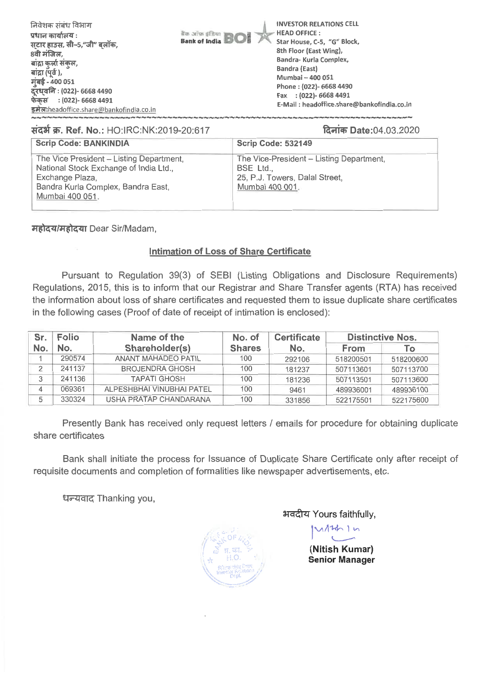| निवेशक संबंध विभाग<br><b>It in order of BOI</b><br>प्रधान कार्यालय :<br>सटार हाउस, सी-5,"जी" बलॉक,<br>8वी मंजिल,<br>बांद्रा कुर्ला संकुल,<br>बांद्रा (पूर्व ),<br>मुंबई - 400 051<br>दूरध्वनि : (022)- 6668 4490<br>फेकस : (022)- 6668 4491<br>इमेल:headoffice.share@bankofindia.co.in | <b>INVESTOR RELATIONS CELL</b><br><b>HEAD OFFICE:</b><br>Star House, C-5, "G" Block,<br>8th Floor (East Wing),<br>Bandra- Kurla Complex,<br>Bandra (East)<br>Mumbai - 400 051<br>Phone: (022)- 6668 4490<br>Fax : (022)- 6668 4491<br>E-Mail: headoffice.share@bankofindia.co.in |
|----------------------------------------------------------------------------------------------------------------------------------------------------------------------------------------------------------------------------------------------------------------------------------------|----------------------------------------------------------------------------------------------------------------------------------------------------------------------------------------------------------------------------------------------------------------------------------|
|----------------------------------------------------------------------------------------------------------------------------------------------------------------------------------------------------------------------------------------------------------------------------------------|----------------------------------------------------------------------------------------------------------------------------------------------------------------------------------------------------------------------------------------------------------------------------------|

### **lid'W. Ref. No.:** HO:IRC:NK:2019-20:617 %op\* Date:04.03.2020

| <b>Scrip Code: BANKINDIA</b>                                                                                                                                   | <b>Scrip Code: 532149</b>                                                                                |
|----------------------------------------------------------------------------------------------------------------------------------------------------------------|----------------------------------------------------------------------------------------------------------|
| The Vice President - Listing Department,<br>National Stock Exchange of India Ltd.,<br>Exchange Plaza,<br>Bandra Kurla Complex, Bandra East,<br>Mumbai 400 051. | The Vice-President - Listing Department,<br>BSE Ltd<br>25, P.J. Towers, Dalal Street,<br>Mumbai 400 001. |

**महोदय/महोदया Dear Sir/Madam,** 

## **Intimation of Loss of Share Certificate**

Pursuant to Regulation 39(3) of SEBI (Listing Obligations and Disclosure Requirements) Regulations, 2015, this is to inform that our Registrar and Share Transfer agents (RTA) has received the information about loss of share certificates and requested them to issue duplicate share certificates in the following cases (Proof of date of receipt of intimation is enclosed):

| Sr. | Folio  | Name of the                | No. of        |        | <b>Distinctive Nos.</b> |           |  |
|-----|--------|----------------------------|---------------|--------|-------------------------|-----------|--|
| No. | No.    | Shareholder(s)             | <b>Shares</b> | No.    | <b>From</b>             | То        |  |
|     | 290574 | <b>ANANT MAHADEO PATIL</b> | 100           | 292106 | 518200501               | 518200600 |  |
|     | 241137 | <b>BROJENDRA GHOSH</b>     | 100           | 181237 | 507113601               | 507113700 |  |
| 3   | 241136 | <b>TAPATI GHOSH</b>        | 100           | 181236 | 507113501               | 507113600 |  |
|     | 069361 | ALPESHBHAI VINUBHAI PATEL  | 100           | 9461   | 489936001               | 489936100 |  |
|     | 330324 | USHA PRATAP CHANDARANA     | 100           | 331856 | 522175501               | 522175600 |  |

Presently Bank has received only request letters / emails for procedure for obtaining duplicate share certificates

Bank shall initiate the process for Issuance of Duplicate Share Certificate only after receipt of requisite documents and completion of formalities like newspaper advertisements, etc.

धन्यवाद Thanking you,

भवदीय Yours faithfully,

 $4\hbar$  1  $\kappa$ 

**(Nitish Kumar) Senior Manager**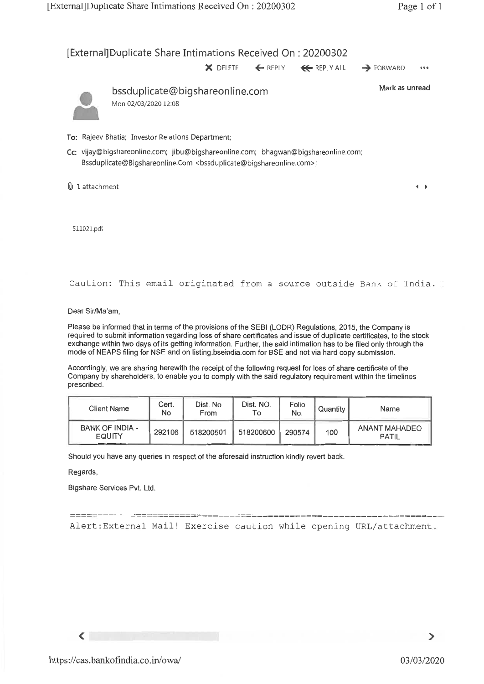## [External]Duplicate Share Intimations Received On : 20200302

**X** DELETE **4.** REPLY **4+** REPLY ALL FORWARD •••



bssduplicate@bigshareonline.com Mon 02/03/2020 12:08

Mark as unread

 $\leftarrow$ 

- To: Rajeev Bhatia; Investor Relations Department;
- Cc: vijay@bigshareonline.com; jibu@bigshareonline.com; bhagwan@bigshareonline.com; Bssduplicate@Bigshareonline.Com <bssduplicate@bigshareonline.com>;

0.) 1 attachment

511021.pdf

Caution: This email originated from a source outside Bank of India.

Dear Sir/Ma'am,

Please be informed that in terms of the provisions of the SEBI (LODR) Regulations, 2015, the Company is required to submit information regarding loss of share certificates and issue of duplicate certificates, to the stock exchange within two days of its getting information. Further, the said intimation has to be filed only through the mode of NEAPS filing for NSE and on listing.bseindia.com for BSE and not via hard copy submission.

Accordingly, we are sharing herewith the receipt of the following request for loss of share certificate of the Company by shareholders, to enable you to comply with the said regulatory requirement within the timelines prescribed.

| <b>Client Name</b>                      | Cert.<br>No | Dist. No<br>From | Dist. NO.<br>To | Folio<br>No. | Quantity | Name                   |
|-----------------------------------------|-------------|------------------|-----------------|--------------|----------|------------------------|
| <b>BANK OF INDIA -</b><br><b>EQUITY</b> | 292106      | 518200501        | 518200600       | 290574       | 100      | ANANT MAHADEO<br>PATIL |

Should you have any queries in respect of the aforesaid instruction kindly revert back.

Regards,

Bigshare Services Pvt. Ltd.

Alert:External Mail! Exercise caution while opening URL/attachment.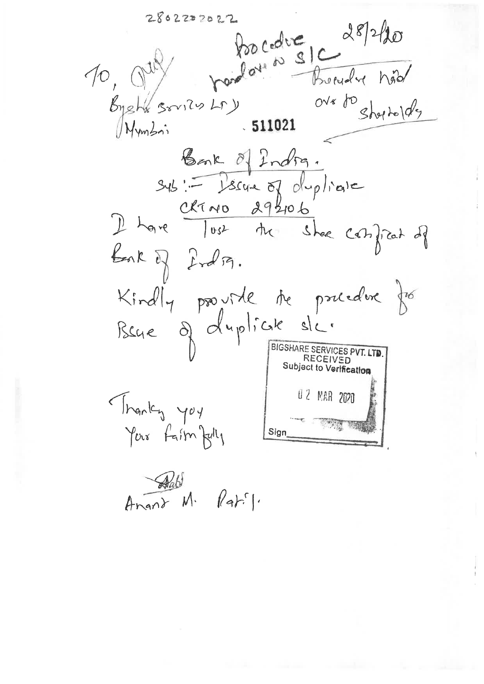porcedure 28/2/20  $2802202022$ 10.0 Bready hid over to short older Byshe sovies Lr) 511021  $M_{Vm}$ Bank of Indra.<br>Sys: Issue of duplicate<br>I have lost the shee confirat of Bak of India. Kindly provide the procedure for Bene of duplick sic. BIGSHARE SERVICES PVT. LT Subject to Verification 02 MAR 2020 Thanky you Your faim fully Sign

 $\n *A*  $\overline{M}$   $\overline{R} + \overline{V}$$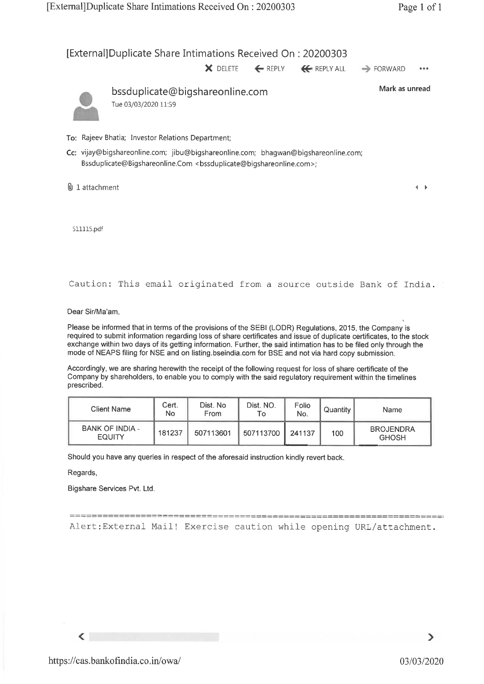# [External] Duplicate Share Intimations Received On : 20200303

**X** DELETE  $\leftarrow$  REPLY  $\leftarrow$  REPLY ALL  $\rightarrow$  FORWARD



bssduplicate@bigshareonline.com Tue 03/03/2020 11:59

Mark as unread

 $\leftarrow$ 

- To: Rajeev Bhatia; Investor Relations Department;
- Cc: vijay@bigshareonline.com; jibu@bigshareonline.com; bhagwan@bigshareonline.com; Bssduplicate@Bigshareonline.Com <br/>bssduplicate@bigshareonline.com>;

@J 1 attachment

511115.pdf

Caution: This email originated from a source outside Bank of India.

Dear Sir/Ma'am,

Please be informed that in terms of the provisions of the SEBI (LODR) Regulations, 2015, the Company is required to submit information regarding loss of share certificates and issue of duplicate certificates, to the stock exchange within two days of its getting information. Further, the said intimation has to be filed only through the mode of NEAPS filing for NSE and on listing.bseindia.com for BSE and not via hard copy submission.

Accordingly, we are sharing herewith the receipt of the following request for loss of share certificate of the Company by shareholders, to enable you to comply with the said regulatory requirement within the timelines prescribed.

| Client Name                      | Cert.<br>No | Dist. No<br>From | Dist. NO.<br>Т٥ | Folio<br>No. | Quantity | Name                             |
|----------------------------------|-------------|------------------|-----------------|--------------|----------|----------------------------------|
| BANK OF INDIA -<br><b>EQUITY</b> | 181237      | 507113601        | 507113700 L     | 241137       | 100      | <b>BROJENDRA</b><br><b>GHOSH</b> |

Should you have any queries in respect of the aforesaid instruction kindly revert back.

Regards,

 $\blacktriangleleft$ 

Bigshare Services Pvt. Ltd.

==================================== Alert:External Mail! Exercise caution while opening URL/attachment.

⋗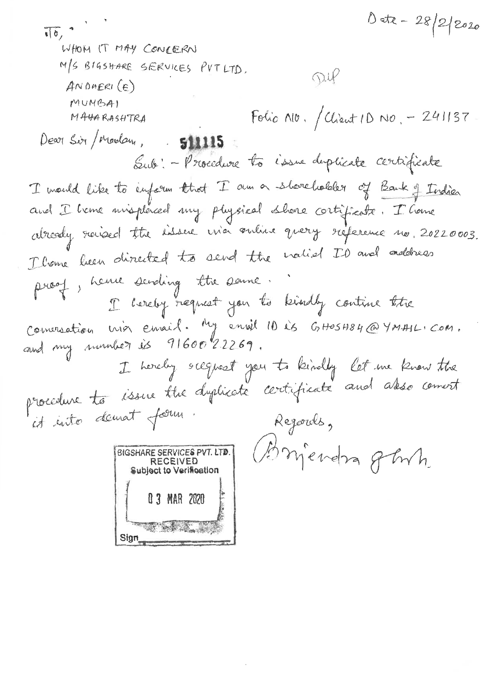1 etc - 28/2/2020  $\sqrt{6}$ WHOM IT MAY CONCERN M/S BIGSHARE SERVICES PUT LTD. Dup  $ANDBER(CE)$ MUMBA) Folio A10. / Client 10 No. - 241137 MAHARASHTRA Dear Sir / Madam, 511115 Sub: - Procedure to issue duplicate certificate I mould like to enform that I am a shoreholder of Bank of Indian and I have misplaced my physical shore cortificate. I have abroady raised the issue wia online query reference no. 20220003. I liame been directed to send the nation ID and address proof, herve sending the same. I hereby request you to kindly contine the Comersation mon enrail. My enril 10 ès GHOSHO4@YMAIL.COM. I hereby suggest you to kindly let me know the<br>procedure to issue the dyplicate certificate and asso coment it into demait form. Regards, Briendra gebrih. BIGSHARE SERVICES PVT. LTD. **RECEIVED** Subject to Verification 0 3 MAR 2020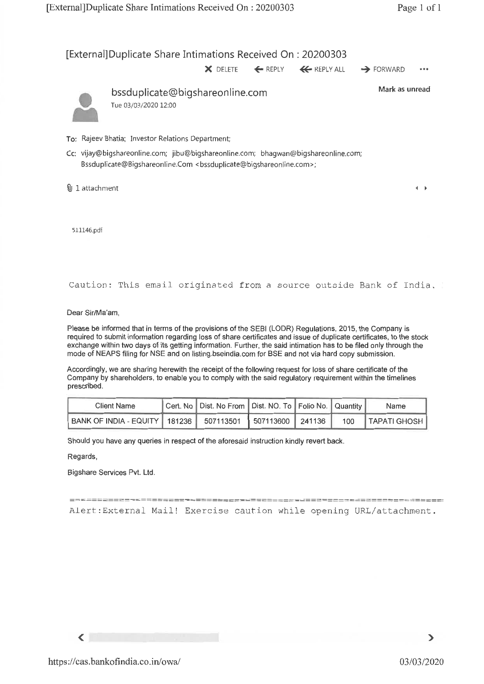# [External] Duplicate Share Intimations Received On : 20200303

**X** DELETE ← REPLY ← REPLY ALL → FORWARD •••



bssduplicate@bigshareonline.com Tue 03/03/2020 12:00

**Mark as unread** 

 $\leftarrow$ 

- **To:** Rajeev Bhatia; Investor Relations Department;
- **Cc:** vijay@bigshareonline.com; jibu@bigshareonline.com; bhagwan@bigshareonline.com; Bssduplicate@Bigshareonline.Com <br/> <br/>ssduplicate@bigshareonline.com>;
- **Q** 1 attachment

511146.pdf

Caution: This email originated from a source outside Bank of India.

**Dear Sir/Ma'am,** 

**Please be informed that in terms of the provisions of the SEBI (LODR) Regulations, 2015, the Company is required to submit information regarding loss of share certificates and issue of duplicate certificates, to the stock exchange within two days of its getting information. Further, the said intimation has to be filed only through the mode of NEAPS filing for NSE and on listing.bseindia.com for BSE and not via hard copy submission.** 

**Accordingly, we are sharing herewith the receipt of the following request for loss of share certificate of the Company by shareholders, to enable you to comply with the said regulatory requirement within the timelines prescribed.** 

| <b>Client Name</b>                                               | Cert. No   Dist. No From   Dist. NO. To   Folio No.   Quantity |  | Name               |
|------------------------------------------------------------------|----------------------------------------------------------------|--|--------------------|
| BANK OF INDIA - EQUITY   181236   507113501   507113600   241136 |                                                                |  | 100   TAPATI GHOSH |

**Should you have any queries in respect of the aforesaid instruction kindly revert back.** 

**Regards,** 

**Bigshare Services Pvt. Ltd.** 

Alert:External Mail! Exercise caution while opening URL/attachment.

 $\leq$ 

 $\mathbf{\lambda}$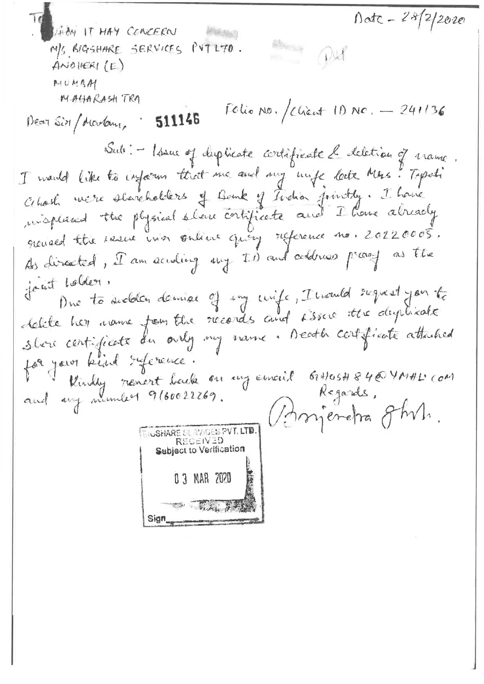Date - 28/2/2020 HION IT HAY COOKERN **MARINARY** Home Out M/S BIGSHARE SERVICES PUT LTO.  $A$ NO HERI  $(E)$ MILMBAY MAHARASH TRA Folio No. / Chient 10 No.  $-241136$ 511146 Dear Sir / decidam, Sub: - Issue of duplicate cortificate le deletion of manic. I would like to inform that me and my mife late Mrs. Typoli Cellosh mere shareholders of Bank of Techn jointly. I have misplaced the physical share contificate and I have already grenard the result in a subtent quity reference no. 20220005. As directed, I am acuding my ID and coldress preacy as the joint holder. Due to sudden demise of my unife, Invented sugnest you to delite her name from the records and issue the dephade shore certificate du only my name. Death certificate attached for jour kind référence. V Vendy renert back on my email 61H05H846 YA1HL com Sinjeretra ghv. **BIGSHARE SIL WIGES PVT. LTD.** RECEIVED Subject to Verification 0 3 MAR 2020 The thing of the Sign.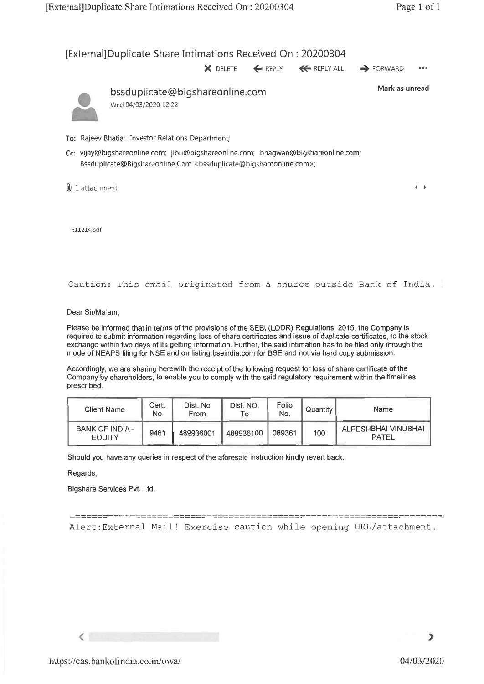[External]Duplicate Share Intimations Received On : 20200304 **X** DELETE ← REPLY ← REPLY ALL → FORWARD bssduplicate@bigshareonline.com Mark as unread Wed 04/03/2020 12:22 **To:** Rajeev Bhatia; Investor Relations Department; Cc: vijay@bigshareonline.com; jibu@bigshareonline.com; bhagwan@bigshareonline.com; Bssduplicate@Bigshareonline.Com <bssduplicate@bigshareonline.com>; 0) 1 attachment  $\leftarrow$ 511214.pdf Caution: This email originated from a source outside Bank of India.

Dear Sir/Ma'am,

Please be informed that in terms of the provisions of the SEBI (LODR) Regulations, 2015, the Company is required to submit information regarding loss of share certificates and issue of duplicate certificates, to the stock exchange within two days of its getting information. Further, the said intimation has to be filed only through the mode of NEAPS filing for NSE and on listing.bseindia.com for BSE and not via hard copy submission.

Accordingly, we are sharing herewith the receipt of the following request for loss of share certificate of the Company by shareholders, to enable you to comply with the said regulatory requirement within the timelines prescribed.

| Client Name                             | Cert.<br>No | Dist. No<br>From | Dist. NO.<br>Τo | Folio<br>No. | Quantity | Name                                |
|-----------------------------------------|-------------|------------------|-----------------|--------------|----------|-------------------------------------|
| <b>BANK OF INDIA -</b><br><b>EQUITY</b> | 9461        | 489936001        | 489936100       | 069361       | 100      | ALPESHBHAI VINUBHAI<br><b>PATEL</b> |

Should you have any queries in respect of the aforesaid instruction kindly revert back.

Regards,

Bigshare Services Pvt. Ltd.

Alert:External Mail! Exercise caution while opening URL/attachment.

 $\langle$